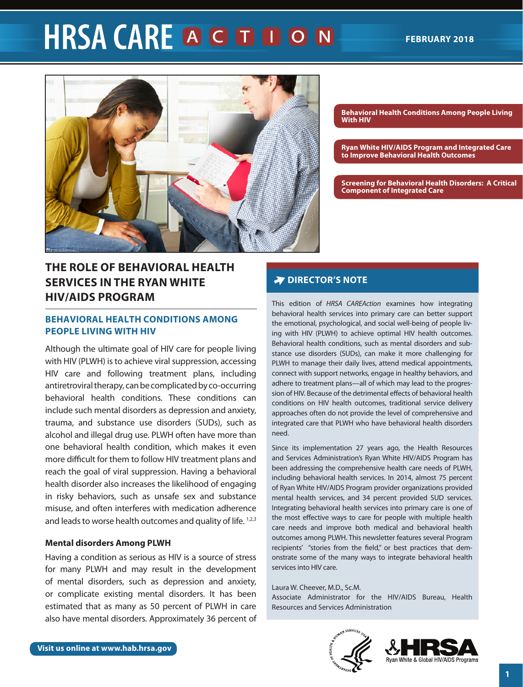# **HRSA CARE A G D D O N**



## **THE ROLE OF BEHAVIORAL HEALTH SERVICES IN THE RYAN WHITE HIV/AIDS PROGRAM**

## **BEHAVIORAL HEALTH CONDITIONS AMONG PEOPLE LIVING WITH HIV**

Although the ultimate goal of HIV care for people living with HIV (PLWH) is to achieve viral suppression, accessing HIV care and following treatment plans, including antiretroviral therapy, can be complicated by co-occurring behavioral health conditions. These conditions can include such mental disorders as depression and anxiety, trauma, and substance use disorders (SUDs), such as alcohol and illegal drug use. PLWH often have more than one behavioral health condition, which makes it even more difficult for them to follow HIV treatment plans and reach the goal of viral suppression. Having a behavioral health disorder also increases the likelihood of engaging in risky behaviors, such as unsafe sex and substance misuse, and often interferes with medication adherence and leads to worse health outcomes and quality of life. 1,2,3

## **Mental disorders Among PLWH**

Having a condition as serious as HIV is a source of stress for many PLWH and may result in the development of mental disorders, such as depression and anxiety, or complicate existing mental disorders. It has been estimated that as many as 50 percent of PLWH in care also have mental disorders. Approximately 36 percent of **Behavioral Health Conditions Among People Living With HIV**

**[Ryan White HIV/AIDS Program and Integrated Care](#page-2-0)  [to Improve Behavioral Health Outcomes](#page-2-0)**

**[Screening for Behavioral Health Disorders: A Critical](#page-3-0)  Component of Integrated Care**

## **POIRECTOR'S NOTE**

This edition of *HRSA CAREAction* examines how integrating behavioral health services into primary care can better support the emotional, psychological, and social well-being of people living with HIV (PLWH) to achieve optimal HIV health outcomes. Behavioral health conditions, such as mental disorders and substance use disorders (SUDs), can make it more challenging for PLWH to manage their daily lives, attend medical appointments, connect with support networks, engage in healthy behaviors, and adhere to treatment plans—all of which may lead to the progression of HIV. Because of the detrimental effects of behavioral health conditions on HIV health outcomes, traditional service delivery approaches often do not provide the level of comprehensive and integrated care that PLWH who have behavioral health disorders need.

Since its implementation 27 years ago, the Health Resources and Services Administration's Ryan White HIV/AIDS Program has been addressing the comprehensive health care needs of PLWH, including behavioral health services. In 2014, almost 75 percent of Ryan White HIV/AIDS Program provider organizations provided mental health services, and 34 percent provided SUD services. Integrating behavioral health services into primary care is one of the most effective ways to care for people with multiple health care needs and improve both medical and behavioral health outcomes among PLWH. This newsletter features several Program recipients' "stories from the field," or best practices that demonstrate some of the many ways to integrate behavioral health services into HIV care.

#### Laura W. Cheever, M.D., Sc.M.

Associate Administrator for the HIV/AIDS Bureau, Health Resources and Services Administration



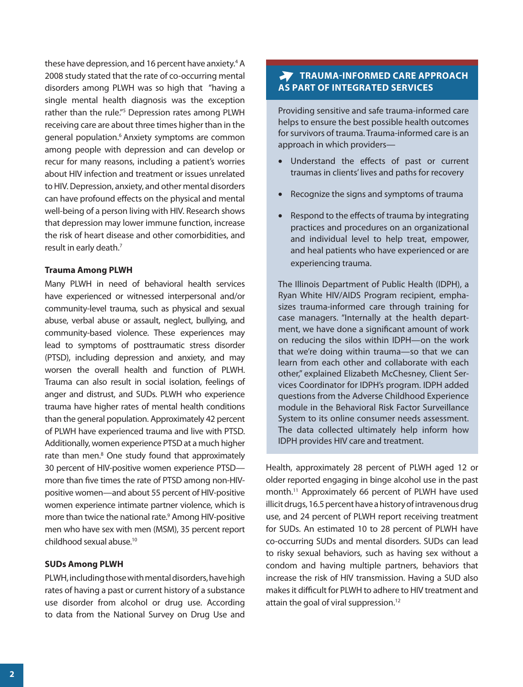these have depression, and 16 percent have anxiety.<sup>4</sup> A 2008 study stated that the rate of co-occurring mental disorders among PLWH was so high that "having a single mental health diagnosis was the exception rather than the rule."<sup>5</sup> Depression rates among PLWH receiving care are about three times higher than in the general population.<sup>6</sup> Anxiety symptoms are common among people with depression and can develop or recur for many reasons, including a patient's worries about HIV infection and treatment or issues unrelated to HIV. Depression, anxiety, and other mental disorders can have profound effects on the physical and mental well-being of a person living with HIV. Research shows that depression may lower immune function, increase the risk of heart disease and other comorbidities, and result in early death.<sup>7</sup>

#### **Trauma Among PLWH**

Many PLWH in need of behavioral health services have experienced or witnessed interpersonal and/or community-level trauma, such as physical and sexual abuse, verbal abuse or assault, neglect, bullying, and community-based violence. These experiences may lead to symptoms of posttraumatic stress disorder (PTSD), including depression and anxiety, and may worsen the overall health and function of PLWH. Trauma can also result in social isolation, feelings of anger and distrust, and SUDs. PLWH who experience trauma have higher rates of mental health conditions than the general population. Approximately 42 percent of PLWH have experienced trauma and live with PTSD. Additionally, women experience PTSD at a much higher rate than men.<sup>8</sup> One study found that approximately 30 percent of HIV-positive women experience PTSD more than five times the rate of PTSD among non-HIVpositive women—and about 55 percent of HIV-positive women experience intimate partner violence, which is more than twice the national rate.<sup>9</sup> Among HIV-positive men who have sex with men (MSM), 35 percent report childhood sexual abuse.10

## **SUDs Among PLWH**

PLWH, including those with mental disorders, have high rates of having a past or current history of a substance use disorder from alcohol or drug use. According to data from the National Survey on Drug Use and

## **TRAUMA-INFORMED CARE APPROACH AS PART OF INTEGRATED SERVICES**

Providing sensitive and safe trauma-informed care helps to ensure the best possible health outcomes for survivors of trauma. Trauma-informed care is an approach in which providers—

- Understand the effects of past or current traumas in clients' lives and paths for recovery
- Recognize the signs and symptoms of trauma
- Respond to the effects of trauma by integrating practices and procedures on an organizational and individual level to help treat, empower, and heal patients who have experienced or are experiencing trauma.

The Illinois Department of Public Health (IDPH), a Ryan White HIV/AIDS Program recipient, emphasizes trauma-informed care through training for case managers. "Internally at the health department, we have done a significant amount of work on reducing the silos within IDPH—on the work that we're doing within trauma—so that we can learn from each other and collaborate with each other," explained Elizabeth McChesney, Client Services Coordinator for IDPH's program. IDPH added questions from the Adverse Childhood Experience module in the Behavioral Risk Factor Surveillance System to its online consumer needs assessment. The data collected ultimately help inform how IDPH provides HIV care and treatment.

Health, approximately 28 percent of PLWH aged 12 or older reported engaging in binge alcohol use in the past month.11 Approximately 66 percent of PLWH have used illicit drugs, 16.5 percent have a history of intravenous drug use, and 24 percent of PLWH report receiving treatment for SUDs. An estimated 10 to 28 percent of PLWH have co-occurring SUDs and mental disorders. SUDs can lead to risky sexual behaviors, such as having sex without a condom and having multiple partners, behaviors that increase the risk of HIV transmission. Having a SUD also makes it difficult for PLWH to adhere to HIV treatment and attain the goal of viral suppression.<sup>12</sup>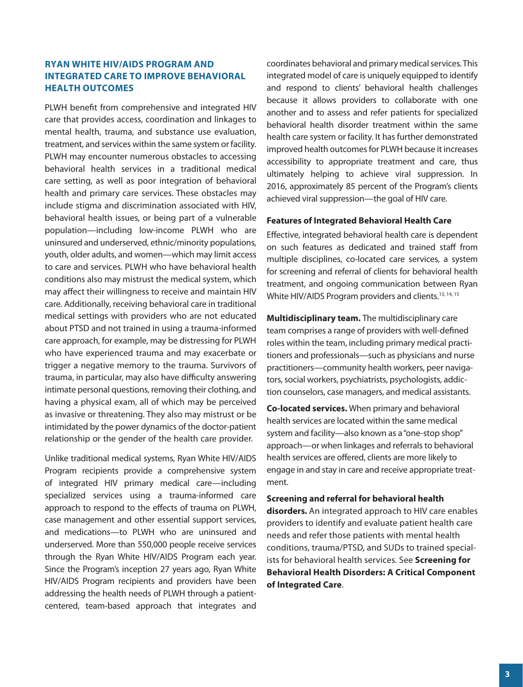## <span id="page-2-0"></span>**RYAN WHITE HIV/AIDS PROGRAM AND INTEGRATED CARE TO IMPROVE BEHAVIORAL HEALTH OUTCOMES**

PLWH benefit from comprehensive and integrated HIV care that provides access, coordination and linkages to mental health, trauma, and substance use evaluation, treatment, and services within the same system or facility. PLWH may encounter numerous obstacles to accessing behavioral health services in a traditional medical care setting, as well as poor integration of behavioral health and primary care services. These obstacles may include stigma and discrimination associated with HIV, behavioral health issues, or being part of a vulnerable population—including low-income PLWH who are uninsured and underserved, ethnic/minority populations, youth, older adults, and women—which may limit access to care and services. PLWH who have behavioral health conditions also may mistrust the medical system, which may affect their willingness to receive and maintain HIV care. Additionally, receiving behavioral care in traditional medical settings with providers who are not educated about PTSD and not trained in using a trauma-informed care approach, for example, may be distressing for PLWH who have experienced trauma and may exacerbate or trigger a negative memory to the trauma. Survivors of trauma, in particular, may also have difficulty answering intimate personal questions, removing their clothing, and having a physical exam, all of which may be perceived as invasive or threatening. They also may mistrust or be intimidated by the power dynamics of the doctor-patient relationship or the gender of the health care provider.

Unlike traditional medical systems, Ryan White HIV/AIDS Program recipients provide a comprehensive system of integrated HIV primary medical care—including specialized services using a trauma-informed care approach to respond to the effects of trauma on PLWH, case management and other essential support services, and medications—to PLWH who are uninsured and underserved. More than 550,000 people receive services through the Ryan White HIV/AIDS Program each year. Since the Program's inception 27 years ago, Ryan White HIV/AIDS Program recipients and providers have been addressing the health needs of PLWH through a patientcentered, team-based approach that integrates and

coordinates behavioral and primary medical services. This integrated model of care is uniquely equipped to identify and respond to clients' behavioral health challenges because it allows providers to collaborate with one another and to assess and refer patients for specialized behavioral health disorder treatment within the same health care system or facility. It has further demonstrated improved health outcomes for PLWH because it increases accessibility to appropriate treatment and care, thus ultimately helping to achieve viral suppression. In 2016, approximately 85 percent of the Program's clients achieved viral suppression—the goal of HIV care.

## **Features of Integrated Behavioral Health Care**

Effective, integrated behavioral health care is dependent on such features as dedicated and trained staff from multiple disciplines, co-located care services, a system for screening and referral of clients for behavioral health treatment, and ongoing communication between Ryan White HIV/AIDS Program providers and clients.<sup>13, 14, 15</sup>

**Multidisciplinary team.** The multidisciplinary care team comprises a range of providers with well-defined roles within the team, including primary medical practitioners and professionals—such as physicians and nurse practitioners—community health workers, peer navigators, social workers, psychiatrists, psychologists, addiction counselors, case managers, and medical assistants.

**Co-located services.** When primary and behavioral health services are located within the same medical system and facility—also known as a "one-stop shop" approach—or when linkages and referrals to behavioral health services are offered, clients are more likely to engage in and stay in care and receive appropriate treatment.

#### **Screening and referral for behavioral health**

**disorders.** An integrated approach to HIV care enables providers to identify and evaluate patient health care needs and refer those patients with mental health conditions, trauma/PTSD, and SUDs to trained specialists for behavioral health services. See **Screening for Behavioral Health Disorders: A Critical Component of Integrated Care**.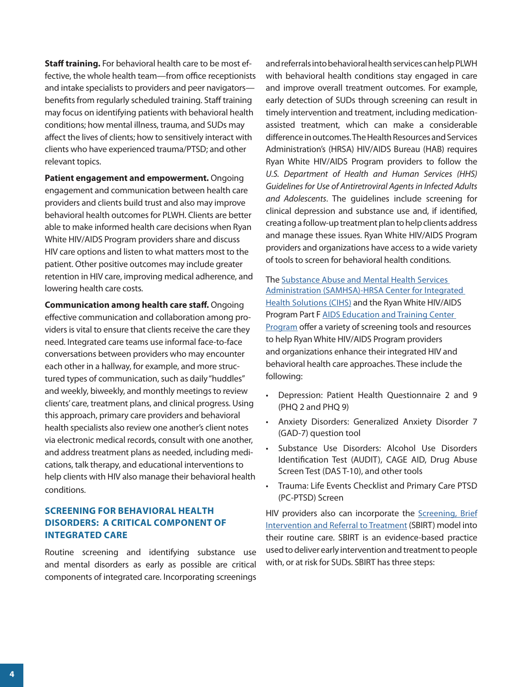<span id="page-3-0"></span>**Staff training.** For behavioral health care to be most effective, the whole health team—from office receptionists and intake specialists to providers and peer navigators benefits from regularly scheduled training. Staff training may focus on identifying patients with behavioral health conditions; how mental illness, trauma, and SUDs may affect the lives of clients; how to sensitively interact with clients who have experienced trauma/PTSD; and other relevant topics.

**Patient engagement and empowerment.** Ongoing engagement and communication between health care providers and clients build trust and also may improve behavioral health outcomes for PLWH. Clients are better able to make informed health care decisions when Ryan White HIV/AIDS Program providers share and discuss HIV care options and listen to what matters most to the patient. Other positive outcomes may include greater retention in HIV care, improving medical adherence, and lowering health care costs.

**Communication among health care staff.** Ongoing effective communication and collaboration among providers is vital to ensure that clients receive the care they need. Integrated care teams use informal face-to-face conversations between providers who may encounter each other in a hallway, for example, and more structured types of communication, such as daily "huddles" and weekly, biweekly, and monthly meetings to review clients' care, treatment plans, and clinical progress. Using this approach, primary care providers and behavioral health specialists also review one another's client notes via electronic medical records, consult with one another, and address treatment plans as needed, including medications, talk therapy, and educational interventions to help clients with HIV also manage their behavioral health conditions.

## **SCREENING FOR BEHAVIORAL HEALTH DISORDERS: A CRITICAL COMPONENT OF INTEGRATED CARE**

Routine screening and identifying substance use and mental disorders as early as possible are critical components of integrated care. Incorporating screenings

and referrals into behavioral health services can help PLWH with behavioral health conditions stay engaged in care and improve overall treatment outcomes. For example, early detection of SUDs through screening can result in timely intervention and treatment, including medicationassisted treatment, which can make a considerable difference in outcomes. The Health Resources and Services Administration's (HRSA) HIV/AIDS Bureau (HAB) requires Ryan White HIV/AIDS Program providers to follow the *U.S. Department of Health and Human Services (HHS) Guidelines for Use of Antiretroviral Agents in Infected Adults and Adolescents*. The guidelines include screening for clinical depression and substance use and, if identified, creating a follow-up treatment plan to help clients address and manage these issues. Ryan White HIV/AIDS Program providers and organizations have access to a wide variety of tools to screen for behavioral health conditions.

The [Substance Abuse and Mental Health Services](https://www.integration.samhsa.gov/)  [Administration \(SAMHSA\)-HRSA Center for Integrated](https://www.integration.samhsa.gov/) [Health Solutions \(CIHS\)](https://www.integration.samhsa.gov/) and the Ryan White HIV/AIDS Program Part F [AIDS Education and Training Center](https://aidsetc.org/resource/depression-screening-tools) Pr[ogram](https://aidsetc.org/resource/depression-screening-tools) offer a variety of screening tools and resources to help Ryan White HIV/AIDS Program providers and organizations enhance their integrated HIV and behavioral health care approaches. These include the following:

- Depression: Patient Health Questionnaire 2 and 9 (PHQ 2 and PHQ 9)
- Anxiety Disorders: Generalized Anxiety Disorder 7 (GAD-7) question tool
- Substance Use Disorders: Alcohol Use Disorders Identification Test (AUDIT), CAGE AID, Drug Abuse Screen Test (DAS T-10), and other tools
- Trauma: Life Events Checklist and Primary Care PTSD (PC-PTSD) Screen

HIV providers also can incorporate the [Screening, Brief](https://www.integration.samhsa.gov/clinical-practice/sbirt) [Intervention and Referral to Treatment](https://www.integration.samhsa.gov/clinical-practice/sbirt) (SBIRT) model into their routine care. SBIRT is an evidence-based practice used to deliver early intervention and treatment to people with, or at risk for SUDs. SBIRT has three steps: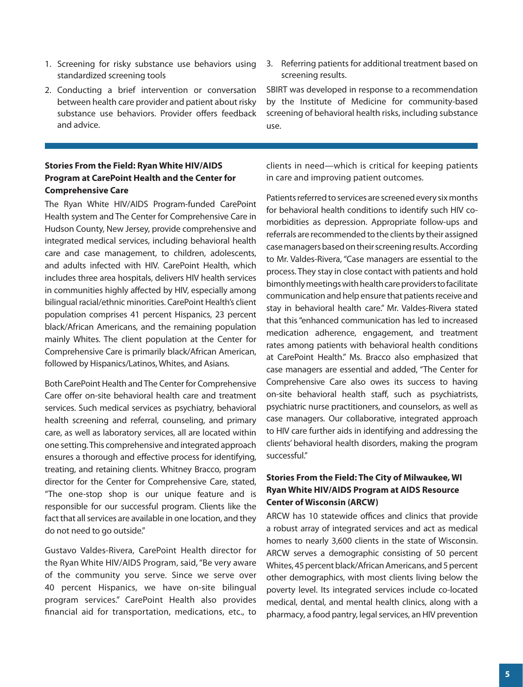- 1. Screening for risky substance use behaviors using standardized screening tools
- 2. Conducting a brief intervention or conversation between health care provider and patient about risky substance use behaviors. Provider offers feedback and advice.

## **Stories From the Field: Ryan White HIV/AIDS Program at CarePoint Health and the Center for Comprehensive Care**

The Ryan White HIV/AIDS Program-funded CarePoint Health system and The Center for Comprehensive Care in Hudson County, New Jersey, provide comprehensive and integrated medical services, including behavioral health care and case management, to children, adolescents, and adults infected with HIV. CarePoint Health, which includes three area hospitals, delivers HIV health services in communities highly affected by HIV, especially among bilingual racial/ethnic minorities. CarePoint Health's client population comprises 41 percent Hispanics, 23 percent black/African Americans, and the remaining population mainly Whites. The client population at the Center for Comprehensive Care is primarily black/African American, followed by Hispanics/Latinos, Whites, and Asians.

Both CarePoint Health and The Center for Comprehensive Care offer on-site behavioral health care and treatment services. Such medical services as psychiatry, behavioral health screening and referral, counseling, and primary care, as well as laboratory services, all are located within one setting. This comprehensive and integrated approach ensures a thorough and effective process for identifying, treating, and retaining clients. Whitney Bracco, program director for the Center for Comprehensive Care, stated, "The one-stop shop is our unique feature and is responsible for our successful program. Clients like the fact that all services are available in one location, and they do not need to go outside."

Gustavo Valdes-Rivera, CarePoint Health director for the Ryan White HIV/AIDS Program, said, "Be very aware of the community you serve. Since we serve over 40 percent Hispanics, we have on-site bilingual program services." CarePoint Health also provides financial aid for transportation, medications, etc., to

3. Referring patients for additional treatment based on screening results.

SBIRT was developed in response to a recommendation by the Institute of Medicine for community-based screening of behavioral health risks, including substance use.

clients in need—which is critical for keeping patients in care and improving patient outcomes.

Patients referred to services are screened every six months for behavioral health conditions to identify such HIV comorbidities as depression. Appropriate follow-ups and referrals are recommended to the clients by their assigned case managers based on their screening results. According to Mr. Valdes-Rivera, "Case managers are essential to the process. They stay in close contact with patients and hold bimonthly meetings with health care providers to facilitate communication and help ensure that patients receive and stay in behavioral health care." Mr. Valdes-Rivera stated that this "enhanced communication has led to increased medication adherence, engagement, and treatment rates among patients with behavioral health conditions at CarePoint Health." Ms. Bracco also emphasized that case managers are essential and added, "The Center for Comprehensive Care also owes its success to having on-site behavioral health staff, such as psychiatrists, psychiatric nurse practitioners, and counselors, as well as case managers. Our collaborative, integrated approach to HIV care further aids in identifying and addressing the clients' behavioral health disorders, making the program successful."

## **Stories From the Field: The City of Milwaukee, WI Ryan White HIV/AIDS Program at AIDS Resource Center of Wisconsin (ARCW)**

ARCW has 10 statewide offices and clinics that provide a robust array of integrated services and act as medical homes to nearly 3,600 clients in the state of Wisconsin. ARCW serves a demographic consisting of 50 percent Whites, 45 percent black/African Americans, and 5 percent other demographics, with most clients living below the poverty level. Its integrated services include co-located medical, dental, and mental health clinics, along with a pharmacy, a food pantry, legal services, an HIV prevention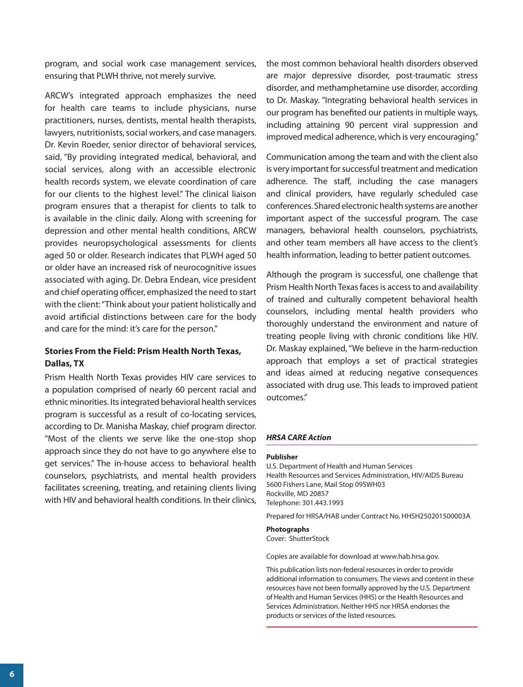program, and social work case management services, ensuring that PLWH thrive, not merely survive.

ARCW's integrated approach emphasizes the need for health care teams to include physicians, nurse practitioners, nurses, dentists, mental health therapists, lawyers, nutritionists, social workers, and case managers. Dr. Kevin Roeder, senior director of behavioral services, said, "By providing integrated medical, behavioral, and social services, along with an accessible electronic health records system, we elevate coordination of care for our clients to the highest level." The clinical liaison program ensures that a therapist for clients to talk to is available in the clinic daily. Along with screening for depression and other mental health conditions, ARCW provides neuropsychological assessments for clients aged 50 or older. Research indicates that PLWH aged 50 or older have an increased risk of neurocognitive issues associated with aging. Dr. Debra Endean, vice president and chief operating officer, emphasized the need to start with the client: "Think about your patient holistically and avoid artificial distinctions between care for the body and care for the mind: it's care for the person."

## **Stories From the Field: Prism Health North Texas, Dallas, TX**

Prism Health North Texas provides HIV care services to a population comprised of nearly 60 percent racial and ethnic minorities. Its integrated behavioral health services program is successful as a result of co-locating services, according to Dr. Manisha Maskay, chief program director. "Most of the clients we serve like the one-stop shop approach since they do not have to go anywhere else to get services." The in-house access to behavioral health counselors, psychiatrists, and mental health providers facilitates screening, treating, and retaining clients living with HIV and behavioral health conditions. In their clinics,

the most common behavioral health disorders observed are major depressive disorder, post-traumatic stress disorder, and methamphetamine use disorder, according to Dr. Maskay. "Integrating behavioral health services in our program has benefited our patients in multiple ways, including attaining 90 percent viral suppression and improved medical adherence, which is very encouraging."

Communication among the team and with the client also is very important for successful treatment and medication adherence. The staff, including the case managers and clinical providers, have regularly scheduled case conferences. Shared electronic health systems are another important aspect of the successful program. The case managers, behavioral health counselors, psychiatrists, and other team members all have access to the client's health information, leading to better patient outcomes.

Although the program is successful, one challenge that Prism Health North Texas faces is access to and availability of trained and culturally competent behavioral health counselors, including mental health providers who thoroughly understand the environment and nature of treating people living with chronic conditions like HIV. Dr. Maskay explained, "We believe in the harm-reduction approach that employs a set of practical strategies and ideas aimed at reducing negative consequences associated with drug use. This leads to improved patient outcomes."

#### *HRSA CARE Action*

#### **Publisher**

U.S. Department of Health and Human Services Health Resources and Services Administration, HIV/AIDS Bureau 5600 Fishers Lane, Mail Stop 09SWH03 Rockville, MD 20857 Telephone: 301.443.1993

Prepared for HRSA/HAB under Contract No. HHSH250201500003A

#### **Photographs**

Cover: ShutterStock

Copies are available for download at [www.hab.hrsa.gov.](www.hab.hrsa.gov)

This publication lists non-federal resources in order to provide additional information to consumers. The views and content in these resources have not been formally approved by the U.S. Department of Health and Human Services (HHS) or the Health Resources and Services Administration. Neither HHS nor HRSA endorses the products or services of the listed resources.